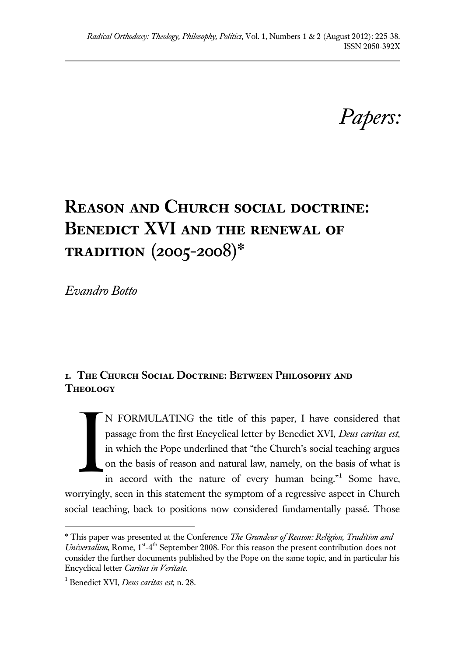*Papers:*

# **Reason and Church social doctrine: Benedict XVI and the renewal of tradition (2005-2008)\***

*Evandro Botto*

## **1. The Church Social Doctrine: Between Philosophy and Theology**

N FORMULATING the title of this paper, I have considered that passage from the first Encyclical letter by Benedict XVI, *Deus caritas est*, in which the Pope underlined that "the Church's social teaching argues on the basis of reason and natural law, namely, on the basis of what is in accord with the nature of every human being."<sup>1</sup> Some have, worryingly, seen in this statement the symptom of a regressive aspect in Church social teaching, back to positions now considered fundamentally passé. Those I

<sup>\*</sup> This paper was presented at the Conference *The Grandeur of Reason: Religion, Tradition and*  Universalism, Rome, 1<sup>st</sup>-4<sup>th</sup> September 2008. For this reason the present contribution does not consider the further documents published by the Pope on the same topic, and in particular his Encyclical letter *Caritas in Veritate.*

<sup>1</sup> Benedict XVI, *Deus caritas est*, n. 28.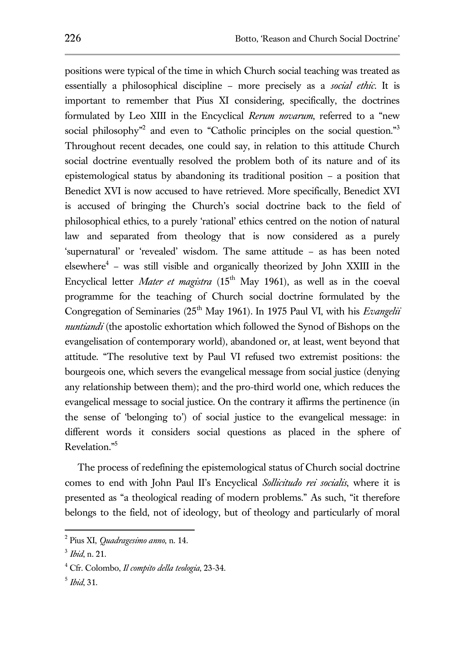positions were typical of the time in which Church social teaching was treated as essentially a philosophical discipline – more precisely as a *social ethic*. It is important to remember that Pius XI considering, specifically, the doctrines formulated by Leo XIII in the Encyclical *Rerum novarum*, referred to a "new social philosophy<sup>"2</sup> and even to "Catholic principles on the social question."<sup>3</sup> Throughout recent decades, one could say, in relation to this attitude Church social doctrine eventually resolved the problem both of its nature and of its epistemological status by abandoning its traditional position – a position that Benedict XVI is now accused to have retrieved. More specifically, Benedict XVI is accused of bringing the Church's social doctrine back to the field of philosophical ethics, to a purely 'rational' ethics centred on the notion of natural law and separated from theology that is now considered as a purely 'supernatural' or 'revealed' wisdom. The same attitude – as has been noted elsewhere $4$  – was still visible and organically theorized by John XXIII in the Encyclical letter *Mater et magistra* (15<sup>th</sup> May 1961), as well as in the coeval programme for the teaching of Church social doctrine formulated by the Congregation of Seminaries (25<sup>th</sup> May 1961). In 1975 Paul VI, with his *Evangelii nuntiandi* (the apostolic exhortation which followed the Synod of Bishops on the evangelisation of contemporary world), abandoned or, at least, went beyond that attitude. "The resolutive text by Paul VI refused two extremist positions: the bourgeois one, which severs the evangelical message from social justice (denying any relationship between them); and the pro-third world one, which reduces the evangelical message to social justice. On the contrary it affirms the pertinence (in the sense of 'belonging to') of social justice to the evangelical message: in different words it considers social questions as placed in the sphere of Revelation."<sup>5</sup>

The process of redefining the epistemological status of Church social doctrine comes to end with John Paul II's Encyclical *Sollicitudo rei socialis*, where it is presented as "a theological reading of modern problems." As such, "it therefore belongs to the field, not of ideology, but of theology and particularly of moral

<sup>2</sup> Pius XI, *Quadragesimo anno*, n. 14.

<sup>3</sup> *Ibid*, n. 21.

<sup>4</sup> Cfr. Colombo, *Il compito della teologia*, 23-34.

<sup>5</sup> *Ibid*, 31.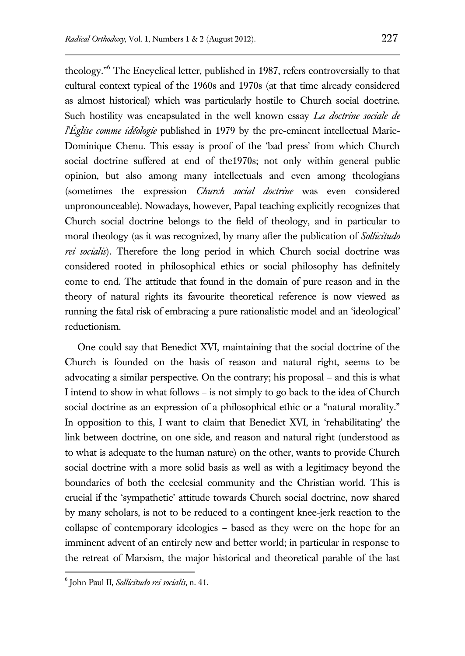theology."<sup>6</sup> The Encyclical letter, published in 1987, refers controversially to that cultural context typical of the 1960s and 1970s (at that time already considered as almost historical) which was particularly hostile to Church social doctrine. Such hostility was encapsulated in the well known essay *La doctrine sociale de l'Église comme idéologie* published in 1979 by the pre-eminent intellectual Marie-Dominique Chenu. This essay is proof of the 'bad press' from which Church social doctrine suffered at end of the1970s; not only within general public opinion, but also among many intellectuals and even among theologians (sometimes the expression *Church social doctrine* was even considered unpronounceable). Nowadays, however, Papal teaching explicitly recognizes that Church social doctrine belongs to the field of theology, and in particular to moral theology (as it was recognized, by many after the publication of *Sollicitudo rei socialis*). Therefore the long period in which Church social doctrine was considered rooted in philosophical ethics or social philosophy has definitely come to end. The attitude that found in the domain of pure reason and in the theory of natural rights its favourite theoretical reference is now viewed as running the fatal risk of embracing a pure rationalistic model and an 'ideological' reductionism.

One could say that Benedict XVI, maintaining that the social doctrine of the Church is founded on the basis of reason and natural right, seems to be advocating a similar perspective. On the contrary; his proposal – and this is what I intend to show in what follows – is not simply to go back to the idea of Church social doctrine as an expression of a philosophical ethic or a "natural morality." In opposition to this, I want to claim that Benedict XVI, in 'rehabilitating' the link between doctrine, on one side, and reason and natural right (understood as to what is adequate to the human nature) on the other, wants to provide Church social doctrine with a more solid basis as well as with a legitimacy beyond the boundaries of both the ecclesial community and the Christian world. This is crucial if the 'sympathetic' attitude towards Church social doctrine, now shared by many scholars, is not to be reduced to a contingent knee-jerk reaction to the collapse of contemporary ideologies – based as they were on the hope for an imminent advent of an entirely new and better world; in particular in response to the retreat of Marxism, the major historical and theoretical parable of the last

<sup>6</sup> John Paul II, *Sollicitudo rei socialis*, n. 41.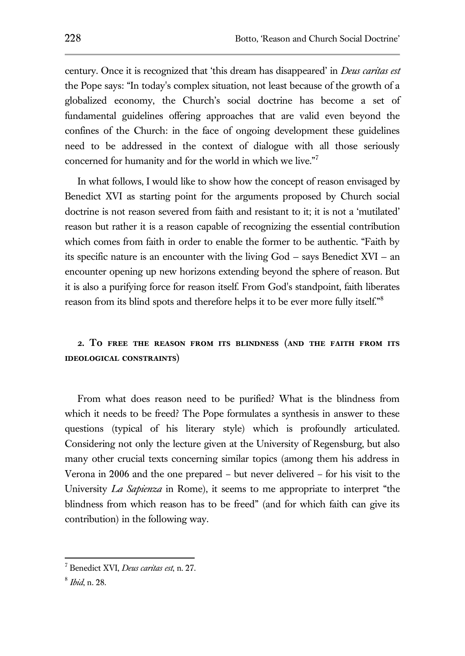century. Once it is recognized that 'this dream has disappeared' in *Deus caritas est* the Pope says: "In today's complex situation, not least because of the growth of a globalized economy, the Church's social doctrine has become a set of fundamental guidelines offering approaches that are valid even beyond the confines of the Church: in the face of ongoing development these guidelines need to be addressed in the context of dialogue with all those seriously concerned for humanity and for the world in which we live."<sup>7</sup>

In what follows, I would like to show how the concept of reason envisaged by Benedict XVI as starting point for the arguments proposed by Church social doctrine is not reason severed from faith and resistant to it; it is not a 'mutilated' reason but rather it is a reason capable of recognizing the essential contribution which comes from faith in order to enable the former to be authentic. "Faith by its specific nature is an encounter with the living God — says Benedict XVI — an encounter opening up new horizons extending beyond the sphere of reason. But it is also a purifying force for reason itself. From God's standpoint, faith liberates reason from its blind spots and therefore helps it to be ever more fully itself."<sup>8</sup>

## **2. To free the reason from its blindness (and the faith from its ideological constraints)**

From what does reason need to be purified? What is the blindness from which it needs to be freed? The Pope formulates a synthesis in answer to these questions (typical of his literary style) which is profoundly articulated. Considering not only the lecture given at the University of Regensburg, but also many other crucial texts concerning similar topics (among them his address in Verona in 2006 and the one prepared – but never delivered – for his visit to the University *La Sapienza* in Rome), it seems to me appropriate to interpret "the blindness from which reason has to be freed" (and for which faith can give its contribution) in the following way.

<sup>7</sup> Benedict XVI, *Deus caritas est*, n. 27.

<sup>8</sup> *Ibid*, n. 28.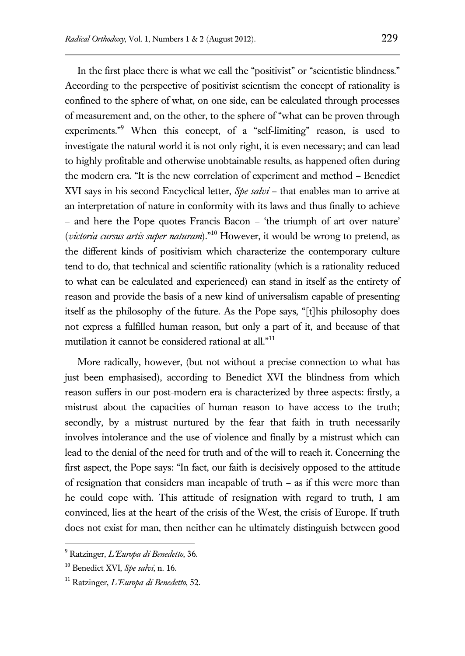In the first place there is what we call the "positivist" or "scientistic blindness." According to the perspective of positivist scientism the concept of rationality is confined to the sphere of what, on one side, can be calculated through processes of measurement and, on the other, to the sphere of "what can be proven through experiments."<sup>9</sup> When this concept, of a "self-limiting" reason, is used to investigate the natural world it is not only right, it is even necessary; and can lead to highly profitable and otherwise unobtainable results, as happened often during the modern era. "It is the new correlation of experiment and method – Benedict XVI says in his second Encyclical letter, *Spe salvi* – that enables man to arrive at an interpretation of nature in conformity with its laws and thus finally to achieve – and here the Pope quotes Francis Bacon – 'the triumph of art over nature' (*victoria cursus artis super naturam*)."<sup>10</sup> However, it would be wrong to pretend, as the different kinds of positivism which characterize the contemporary culture tend to do, that technical and scientific rationality (which is a rationality reduced to what can be calculated and experienced) can stand in itself as the entirety of reason and provide the basis of a new kind of universalism capable of presenting itself as the philosophy of the future. As the Pope says, "[t]his philosophy does not express a fulfilled human reason, but only a part of it, and because of that mutilation it cannot be considered rational at all."<sup>11</sup>

More radically, however, (but not without a precise connection to what has just been emphasised), according to Benedict XVI the blindness from which reason suffers in our post-modern era is characterized by three aspects: firstly, a mistrust about the capacities of human reason to have access to the truth; secondly, by a mistrust nurtured by the fear that faith in truth necessarily involves intolerance and the use of violence and finally by a mistrust which can lead to the denial of the need for truth and of the will to reach it. Concerning the first aspect, the Pope says: "In fact, our faith is decisively opposed to the attitude of resignation that considers man incapable of truth – as if this were more than he could cope with. This attitude of resignation with regard to truth, I am convinced, lies at the heart of the crisis of the West, the crisis of Europe. If truth does not exist for man, then neither can he ultimately distinguish between good

<sup>9</sup> Ratzinger, *L'Europa di Benedetto*, 36.

<sup>10</sup> Benedict XVI, *Spe salvi*, n. 16.

<sup>11</sup> Ratzinger, *L'Europa di Benedetto*, 52.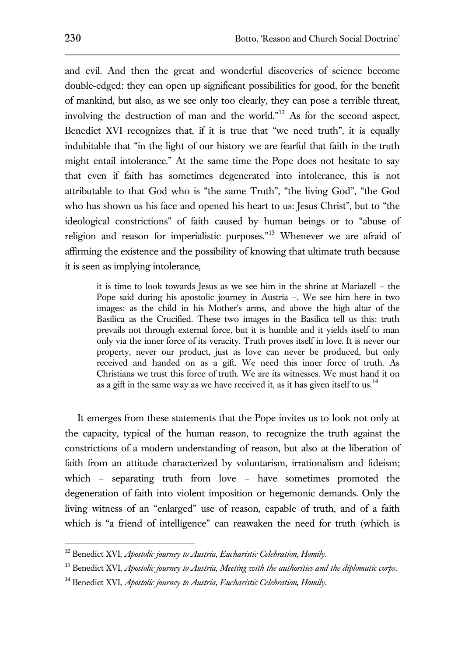and evil. And then the great and wonderful discoveries of science become double-edged: they can open up significant possibilities for good, for the benefit of mankind, but also, as we see only too clearly, they can pose a terrible threat, involving the destruction of man and the world."<sup>12</sup> As for the second aspect, Benedict XVI recognizes that, if it is true that "we need truth", it is equally indubitable that "in the light of our history we are fearful that faith in the truth might entail intolerance." At the same time the Pope does not hesitate to say that even if faith has sometimes degenerated into intolerance, this is not attributable to that God who is "the same Truth", "the living God", "the God who has shown us his face and opened his heart to us: Jesus Christ", but to "the ideological constrictions" of faith caused by human beings or to "abuse of religion and reason for imperialistic purposes."<sup>13</sup> Whenever we are afraid of affirming the existence and the possibility of knowing that ultimate truth because it is seen as implying intolerance,

it is time to look towards Jesus as we see him in the shrine at Mariazell – the Pope said during his apostolic journey in Austria –. We see him here in two images: as the child in his Mother's arms, and above the high altar of the Basilica as the Crucified. These two images in the Basilica tell us this: truth prevails not through external force, but it is humble and it yields itself to man only via the inner force of its veracity. Truth proves itself in love. It is never our property, never our product, just as love can never be produced, but only received and handed on as a gift. We need this inner force of truth. As Christians we trust this force of truth. We are its witnesses. We must hand it on as a gift in the same way as we have received it, as it has given itself to us.<sup>14</sup>

It emerges from these statements that the Pope invites us to look not only at the capacity, typical of the human reason, to recognize the truth against the constrictions of a modern understanding of reason, but also at the liberation of faith from an attitude characterized by voluntarism, irrationalism and fideism; which – separating truth from love – have sometimes promoted the degeneration of faith into violent imposition or hegemonic demands. Only the living witness of an "enlarged" use of reason, capable of truth, and of a faith which is "a friend of intelligence" can reawaken the need for truth (which is

<sup>12</sup> Benedict XVI, *Apostolic journey to Austria, Eucharistic Celebration, Homily*.

<sup>13</sup> Benedict XVI, *Apostolic journey to Austria, Meeting with the authorities and the diplomatic corps*.

<sup>14</sup> Benedict XVI, *Apostolic journey to Austria, Eucharistic Celebration, Homily*.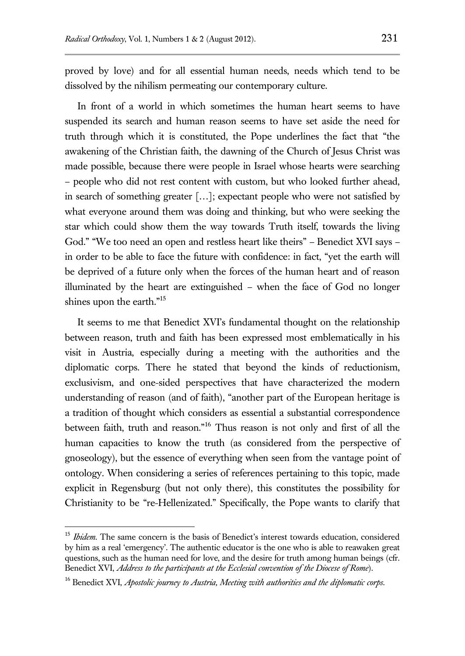proved by love) and for all essential human needs, needs which tend to be dissolved by the nihilism permeating our contemporary culture.

In front of a world in which sometimes the human heart seems to have suspended its search and human reason seems to have set aside the need for truth through which it is constituted, the Pope underlines the fact that "the awakening of the Christian faith, the dawning of the Church of Jesus Christ was made possible, because there were people in Israel whose hearts were searching – people who did not rest content with custom, but who looked further ahead, in search of something greater […]; expectant people who were not satisfied by what everyone around them was doing and thinking, but who were seeking the star which could show them the way towards Truth itself, towards the living God." "We too need an open and restless heart like theirs" – Benedict XVI says – in order to be able to face the future with confidence: in fact, "yet the earth will be deprived of a future only when the forces of the human heart and of reason illuminated by the heart are extinguished – when the face of God no longer shines upon the earth."<sup>15</sup>

It seems to me that Benedict XVI's fundamental thought on the relationship between reason, truth and faith has been expressed most emblematically in his visit in Austria, especially during a meeting with the authorities and the diplomatic corps. There he stated that beyond the kinds of reductionism, exclusivism, and one-sided perspectives that have characterized the modern understanding of reason (and of faith), "another part of the European heritage is a tradition of thought which considers as essential a substantial correspondence between faith, truth and reason."<sup>16</sup> Thus reason is not only and first of all the human capacities to know the truth (as considered from the perspective of gnoseology), but the essence of everything when seen from the vantage point of ontology. When considering a series of references pertaining to this topic, made explicit in Regensburg (but not only there), this constitutes the possibility for Christianity to be "re-Hellenizated." Specifically, the Pope wants to clarify that

<sup>&</sup>lt;sup>15</sup> *Ibidem*. The same concern is the basis of Benedict's interest towards education, considered by him as a real 'emergency'. The authentic educator is the one who is able to reawaken great questions, such as the human need for love, and the desire for truth among human beings (cfr. Benedict XVI, *Address to the participants at the Ecclesial convention of the Diocese of Rome*).

<sup>16</sup> Benedict XVI, *Apostolic journey to Austria, Meeting with authorities and the diplomatic corps*.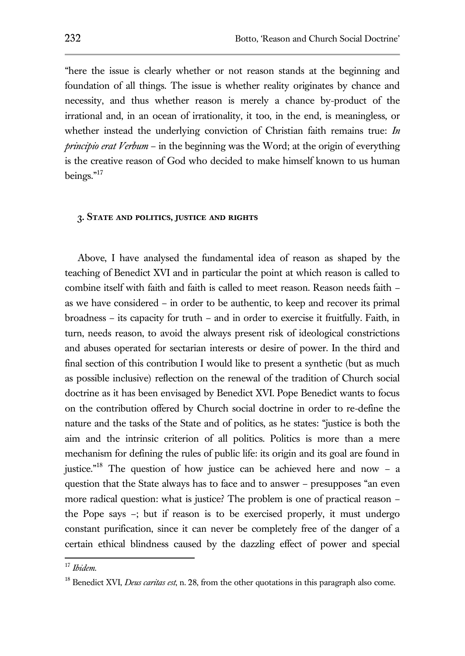"here the issue is clearly whether or not reason stands at the beginning and foundation of all things. The issue is whether reality originates by chance and necessity, and thus whether reason is merely a chance by-product of the irrational and, in an ocean of irrationality, it too, in the end, is meaningless, or whether instead the underlying conviction of Christian faith remains true: *In principio erat Verbum* – in the beginning was the Word; at the origin of everything is the creative reason of God who decided to make himself known to us human beings."<sup>17</sup>

#### **3. State and politics, justice and rights**

Above, I have analysed the fundamental idea of reason as shaped by the teaching of Benedict XVI and in particular the point at which reason is called to combine itself with faith and faith is called to meet reason. Reason needs faith – as we have considered – in order to be authentic, to keep and recover its primal broadness – its capacity for truth – and in order to exercise it fruitfully. Faith, in turn, needs reason, to avoid the always present risk of ideological constrictions and abuses operated for sectarian interests or desire of power. In the third and final section of this contribution I would like to present a synthetic (but as much as possible inclusive) reflection on the renewal of the tradition of Church social doctrine as it has been envisaged by Benedict XVI. Pope Benedict wants to focus on the contribution offered by Church social doctrine in order to re-define the nature and the tasks of the State and of politics, as he states: "justice is both the aim and the intrinsic criterion of all politics. Politics is more than a mere mechanism for defining the rules of public life: its origin and its goal are found in justice."<sup>18</sup> The question of how justice can be achieved here and now  $- a$ question that the State always has to face and to answer – presupposes "an even more radical question: what is justice? The problem is one of practical reason – the Pope says –; but if reason is to be exercised properly, it must undergo constant purification, since it can never be completely free of the danger of a certain ethical blindness caused by the dazzling effect of power and special

<sup>17</sup> *Ibidem*.

<sup>&</sup>lt;sup>18</sup> Benedict XVI, *Deus caritas est*, n. 28, from the other quotations in this paragraph also come.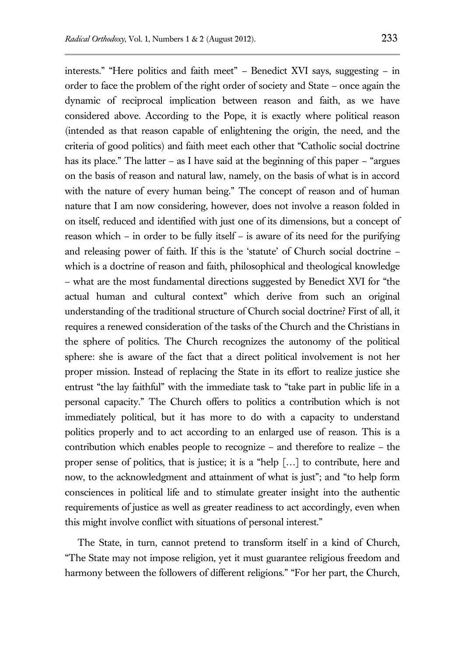interests." "Here politics and faith meet" – Benedict XVI says, suggesting – in order to face the problem of the right order of society and State – once again the dynamic of reciprocal implication between reason and faith, as we have considered above. According to the Pope, it is exactly where political reason (intended as that reason capable of enlightening the origin, the need, and the criteria of good politics) and faith meet each other that "Catholic social doctrine has its place." The latter – as I have said at the beginning of this paper – "argues" on the basis of reason and natural law, namely, on the basis of what is in accord with the nature of every human being." The concept of reason and of human nature that I am now considering, however, does not involve a reason folded in on itself, reduced and identified with just one of its dimensions, but a concept of reason which – in order to be fully itself – is aware of its need for the purifying and releasing power of faith. If this is the 'statute' of Church social doctrine – which is a doctrine of reason and faith, philosophical and theological knowledge – what are the most fundamental directions suggested by Benedict XVI for "the actual human and cultural context" which derive from such an original understanding of the traditional structure of Church social doctrine? First of all, it requires a renewed consideration of the tasks of the Church and the Christians in the sphere of politics. The Church recognizes the autonomy of the political sphere: she is aware of the fact that a direct political involvement is not her proper mission. Instead of replacing the State in its effort to realize justice she entrust "the lay faithful" with the immediate task to "take part in public life in a personal capacity." The Church offers to politics a contribution which is not immediately political, but it has more to do with a capacity to understand politics properly and to act according to an enlarged use of reason. This is a contribution which enables people to recognize – and therefore to realize – the proper sense of politics, that is justice; it is a "help […] to contribute, here and now, to the acknowledgment and attainment of what is just"; and "to help form consciences in political life and to stimulate greater insight into the authentic requirements of justice as well as greater readiness to act accordingly, even when this might involve conflict with situations of personal interest."

The State, in turn, cannot pretend to transform itself in a kind of Church, "The State may not impose religion, yet it must guarantee religious freedom and harmony between the followers of different religions." "For her part, the Church,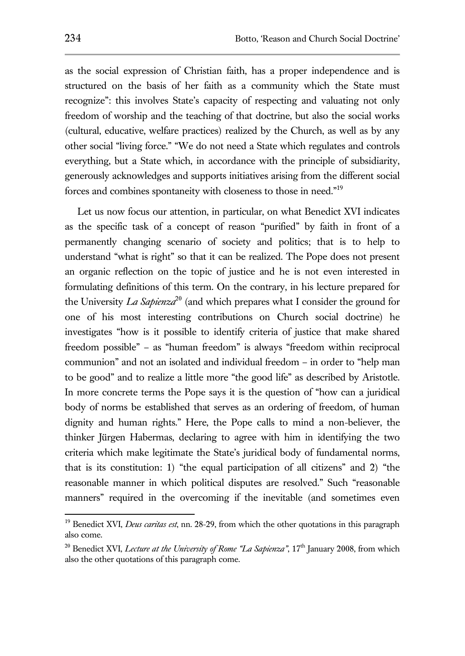as the social expression of Christian faith, has a proper independence and is structured on the basis of her faith as a community which the State must recognize": this involves State's capacity of respecting and valuating not only freedom of worship and the teaching of that doctrine, but also the social works (cultural, educative, welfare practices) realized by the Church, as well as by any other social "living force." "We do not need a State which regulates and controls everything, but a State which, in accordance with the principle of subsidiarity, generously acknowledges and supports initiatives arising from the different social forces and combines spontaneity with closeness to those in need."<sup>19</sup>

Let us now focus our attention, in particular, on what Benedict XVI indicates as the specific task of a concept of reason "purified" by faith in front of a permanently changing scenario of society and politics; that is to help to understand "what is right" so that it can be realized. The Pope does not present an organic reflection on the topic of justice and he is not even interested in formulating definitions of this term. On the contrary, in his lecture prepared for the University *La Sapienza*<sup>20</sup> (and which prepares what I consider the ground for one of his most interesting contributions on Church social doctrine) he investigates "how is it possible to identify criteria of justice that make shared freedom possible" – as "human freedom" is always "freedom within reciprocal communion" and not an isolated and individual freedom – in order to "help man to be good" and to realize a little more "the good life" as described by Aristotle. In more concrete terms the Pope says it is the question of "how can a juridical body of norms be established that serves as an ordering of freedom, of human dignity and human rights." Here, the Pope calls to mind a non-believer, the thinker Jürgen Habermas, declaring to agree with him in identifying the two criteria which make legitimate the State's juridical body of fundamental norms, that is its constitution: 1) "the equal participation of all citizens" and 2) "the reasonable manner in which political disputes are resolved." Such "reasonable manners" required in the overcoming if the inevitable (and sometimes even

<sup>19</sup> Benedict XVI, *Deus caritas est*, nn. 28-29, from which the other quotations in this paragraph also come.

<sup>&</sup>lt;sup>20</sup> Benedict XVI, *Lecture at the University of Rome "La Sapienza"*, 17<sup>th</sup> January 2008, from which also the other quotations of this paragraph come.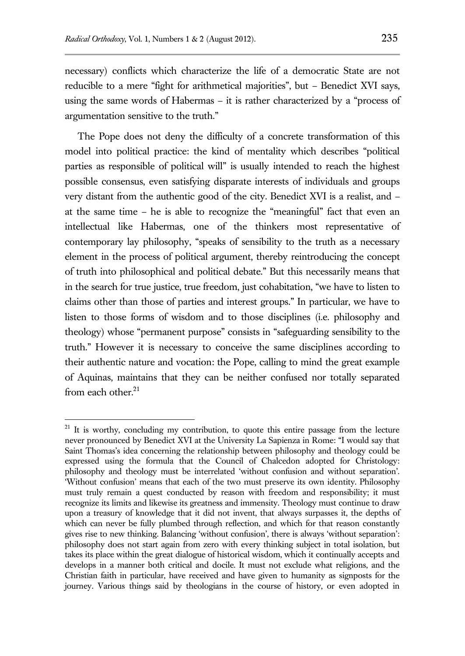necessary) conflicts which characterize the life of a democratic State are not reducible to a mere "fight for arithmetical majorities", but – Benedict XVI says, using the same words of Habermas – it is rather characterized by a "process of argumentation sensitive to the truth."

The Pope does not deny the difficulty of a concrete transformation of this model into political practice: the kind of mentality which describes "political parties as responsible of political will" is usually intended to reach the highest possible consensus, even satisfying disparate interests of individuals and groups very distant from the authentic good of the city. Benedict XVI is a realist, and – at the same time – he is able to recognize the "meaningful" fact that even an intellectual like Habermas, one of the thinkers most representative of contemporary lay philosophy, "speaks of sensibility to the truth as a necessary element in the process of political argument, thereby reintroducing the concept of truth into philosophical and political debate." But this necessarily means that in the search for true justice, true freedom, just cohabitation, "we have to listen to claims other than those of parties and interest groups." In particular, we have to listen to those forms of wisdom and to those disciplines (i.e. philosophy and theology) whose "permanent purpose" consists in "safeguarding sensibility to the truth." However it is necessary to conceive the same disciplines according to their authentic nature and vocation: the Pope, calling to mind the great example of Aquinas, maintains that they can be neither confused nor totally separated from each other. $21$ 

 $21$  It is worthy, concluding my contribution, to quote this entire passage from the lecture never pronounced by Benedict XVI at the University La Sapienza in Rome: "I would say that Saint Thomas's idea concerning the relationship between philosophy and theology could be expressed using the formula that the Council of Chalcedon adopted for Christology: philosophy and theology must be interrelated 'without confusion and without separation'. 'Without confusion' means that each of the two must preserve its own identity. Philosophy must truly remain a quest conducted by reason with freedom and responsibility; it must recognize its limits and likewise its greatness and immensity. Theology must continue to draw upon a treasury of knowledge that it did not invent, that always surpasses it, the depths of which can never be fully plumbed through reflection, and which for that reason constantly gives rise to new thinking. Balancing 'without confusion', there is always 'without separation': philosophy does not start again from zero with every thinking subject in total isolation, but takes its place within the great dialogue of historical wisdom, which it continually accepts and develops in a manner both critical and docile. It must not exclude what religions, and the Christian faith in particular, have received and have given to humanity as signposts for the journey. Various things said by theologians in the course of history, or even adopted in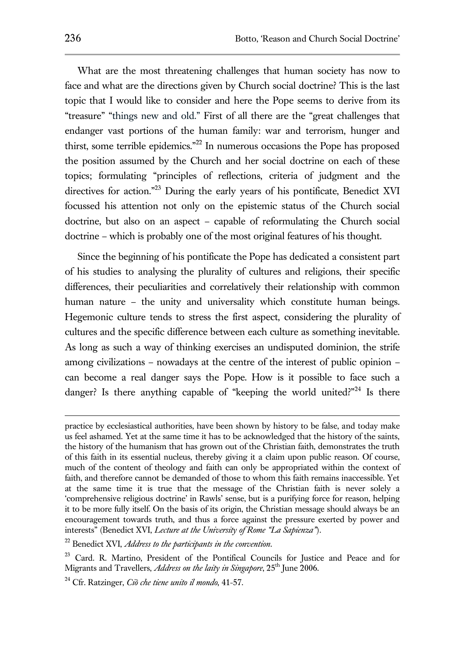What are the most threatening challenges that human society has now to face and what are the directions given by Church social doctrine? This is the last topic that I would like to consider and here the Pope seems to derive from its "treasure" "things new and old." First of all there are the "great challenges that endanger vast portions of the human family: war and terrorism, hunger and thirst, some terrible epidemics."<sup>22</sup> In numerous occasions the Pope has proposed the position assumed by the Church and her social doctrine on each of these topics; formulating "principles of reflections, criteria of judgment and the directives for action."<sup>23</sup> During the early years of his pontificate, Benedict XVI focussed his attention not only on the epistemic status of the Church social doctrine, but also on an aspect – capable of reformulating the Church social doctrine – which is probably one of the most original features of his thought.

Since the beginning of his pontificate the Pope has dedicated a consistent part of his studies to analysing the plurality of cultures and religions, their specific differences, their peculiarities and correlatively their relationship with common human nature – the unity and universality which constitute human beings. Hegemonic culture tends to stress the first aspect, considering the plurality of cultures and the specific difference between each culture as something inevitable. As long as such a way of thinking exercises an undisputed dominion, the strife among civilizations – nowadays at the centre of the interest of public opinion – can become a real danger says the Pope. How is it possible to face such a danger? Is there anything capable of "keeping the world united?"<sup>24</sup> Is there

practice by ecclesiastical authorities, have been shown by history to be false, and today make us feel ashamed. Yet at the same time it has to be acknowledged that the history of the saints, the history of the humanism that has grown out of the Christian faith, demonstrates the truth of this faith in its essential nucleus, thereby giving it a claim upon public reason. Of course, much of the content of theology and faith can only be appropriated within the context of faith, and therefore cannot be demanded of those to whom this faith remains inaccessible. Yet at the same time it is true that the message of the Christian faith is never solely a 'comprehensive religious doctrine' in Rawls' sense, but is a purifying force for reason, helping it to be more fully itself. On the basis of its origin, the Christian message should always be an encouragement towards truth, and thus a force against the pressure exerted by power and interests" (Benedict XVI, *Lecture at the University of Rome "La Sapienza"*).

<sup>22</sup> Benedict XVI, *Address to the participants in the convention*.

<sup>&</sup>lt;sup>23</sup> Card. R. Martino, President of the Pontifical Councils for Justice and Peace and for Migrants and Travellers, *Address on the laity in Singapore*, 25<sup>th</sup> June 2006.

<sup>24</sup> Cfr. Ratzinger, *Ciò che tiene unito il mondo*, 41-57.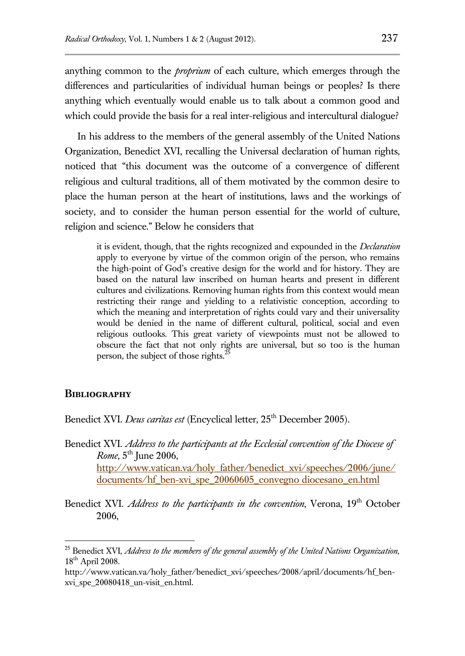anything common to the *proprium* of each culture, which emerges through the differences and particularities of individual human beings or peoples? Is there anything which eventually would enable us to talk about a common good and which could provide the basis for a real inter-religious and intercultural dialogue?

In his address to the members of the general assembly of the United Nations Organization, Benedict XVI, recalling the Universal declaration of human rights, noticed that "this document was the outcome of a convergence of different religious and cultural traditions, all of them motivated by the common desire to place the human person at the heart of institutions, laws and the workings of society, and to consider the human person essential for the world of culture, religion and science." Below he considers that

it is evident, though, that the rights recognized and expounded in the *Declaration* apply to everyone by virtue of the common origin of the person, who remains the high-point of God's creative design for the world and for history. They are based on the natural law inscribed on human hearts and present in different cultures and civilizations. Removing human rights from this context would mean restricting their range and yielding to a relativistic conception, according to which the meaning and interpretation of rights could vary and their universality would be denied in the name of different cultural, political, social and even religious outlooks. This great variety of viewpoints must not be allowed to obscure the fact that not only rights are universal, but so too is the human person, the subject of those rights.<sup>2</sup>

### **Bibliography**

 $\overline{a}$ 

Benedict XVI. *Deus caritas est* (Encyclical letter, 25<sup>th</sup> December 2005).

- Benedict XVI. *Address to the participants at the Ecclesial convention of the Diocese of Rome*,  $5^{\text{th}}$  June 2006, [http://www.vatican.va/holy\\_father/benedict\\_xvi/speeches/2006/june/](http://www.vatican.va/holy_father/benedict_xvi/speeches/2006/june/documents/hf_ben-xvi_spe_20060605_convegno%20diocesano_en.html) [documents/hf\\_ben-xvi\\_spe\\_20060605\\_convegno diocesano\\_en.html](http://www.vatican.va/holy_father/benedict_xvi/speeches/2006/june/documents/hf_ben-xvi_spe_20060605_convegno%20diocesano_en.html)
- Benedict XVI. *Address to the participants in the convention*, Verona, 19<sup>th</sup> October 2006,

<sup>25</sup> Benedict XVI, *Address to the members of the general assembly of the United Nations Organization*,  $18^{\text{th}}$  April 2008.

[http://www.vatican.va/holy\\_father/benedict\\_xvi/speeches/2008/april/documents/hf\\_ben](http://www.vatican.va/holy_father/benedict_xvi/speeches/2008/april/documents/hf_ben-xvi_spe_20080418_un-visit_en.html)[xvi\\_spe\\_20080418\\_un-visit\\_en.html.](http://www.vatican.va/holy_father/benedict_xvi/speeches/2008/april/documents/hf_ben-xvi_spe_20080418_un-visit_en.html)